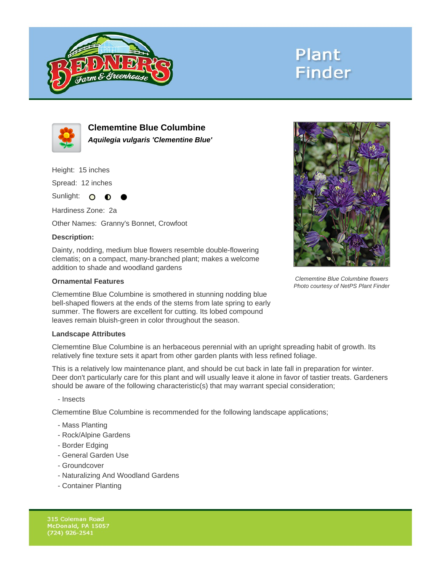

# **Plant Finder**



**Clememtine Blue Columbine Aquilegia vulgaris 'Clementine Blue'**

Height: 15 inches

Spread: 12 inches

Sunlight: O  $\bullet$ 

Hardiness Zone: 2a

Other Names: Granny's Bonnet, Crowfoot

### **Description:**

Dainty, nodding, medium blue flowers resemble double-flowering clematis; on a compact, many-branched plant; makes a welcome addition to shade and woodland gardens

#### **Ornamental Features**

Clememtine Blue Columbine is smothered in stunning nodding blue bell-shaped flowers at the ends of the stems from late spring to early summer. The flowers are excellent for cutting. Its lobed compound leaves remain bluish-green in color throughout the season.

#### **Landscape Attributes**

Clememtine Blue Columbine is an herbaceous perennial with an upright spreading habit of growth. Its relatively fine texture sets it apart from other garden plants with less refined foliage.

This is a relatively low maintenance plant, and should be cut back in late fall in preparation for winter. Deer don't particularly care for this plant and will usually leave it alone in favor of tastier treats. Gardeners should be aware of the following characteristic(s) that may warrant special consideration;

- Insects

Clememtine Blue Columbine is recommended for the following landscape applications;

- Mass Planting
- Rock/Alpine Gardens
- Border Edging
- General Garden Use
- Groundcover
- Naturalizing And Woodland Gardens
- Container Planting



Clememtine Blue Columbine flowers Photo courtesy of NetPS Plant Finder

315 Coleman Road McDonald, PA 15057  $(724)$  926-2541